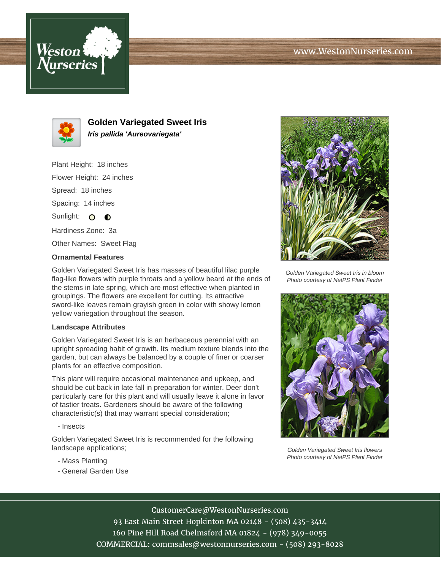# www.WestonNurseries.com





**Golden Variegated Sweet Iris Iris pallida 'Aureovariegata'**

Plant Height: 18 inches

Flower Height: 24 inches

Spread: 18 inches

Spacing: 14 inches

Sunlight: O O

Hardiness Zone: 3a

Other Names: Sweet Flag

### **Ornamental Features**

Golden Variegated Sweet Iris has masses of beautiful lilac purple flag-like flowers with purple throats and a yellow beard at the ends of the stems in late spring, which are most effective when planted in groupings. The flowers are excellent for cutting. Its attractive sword-like leaves remain grayish green in color with showy lemon yellow variegation throughout the season.

#### **Landscape Attributes**

Golden Variegated Sweet Iris is an herbaceous perennial with an upright spreading habit of growth. Its medium texture blends into the garden, but can always be balanced by a couple of finer or coarser plants for an effective composition.

This plant will require occasional maintenance and upkeep, and should be cut back in late fall in preparation for winter. Deer don't particularly care for this plant and will usually leave it alone in favor of tastier treats. Gardeners should be aware of the following characteristic(s) that may warrant special consideration;

- Insects

Golden Variegated Sweet Iris is recommended for the following landscape applications;

- Mass Planting
- General Garden Use



Golden Variegated Sweet Iris in bloom Photo courtesy of NetPS Plant Finder



Golden Variegated Sweet Iris flowers Photo courtesy of NetPS Plant Finder

## CustomerCare@WestonNurseries.com

93 East Main Street Hopkinton MA 02148 - (508) 435-3414 160 Pine Hill Road Chelmsford MA 01824 - (978) 349-0055 COMMERCIAL: commsales@westonnurseries.com - (508) 293-8028